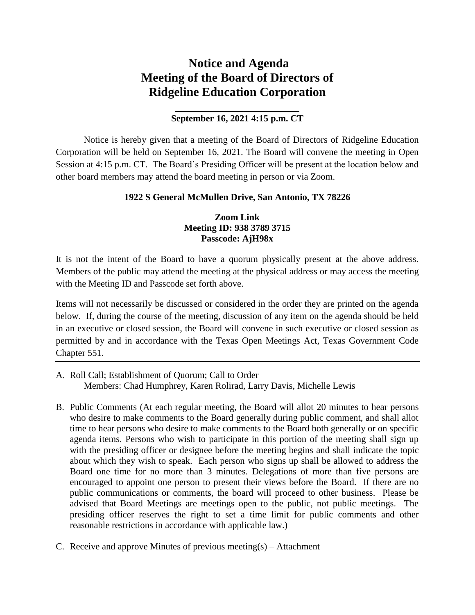# **Notice and Agenda Meeting of the Board of Directors of Ridgeline Education Corporation**

## **\_\_\_\_\_\_\_\_\_\_\_\_\_\_\_\_\_\_\_\_ September 16, 2021 4:15 p.m. CT**

Notice is hereby given that a meeting of the Board of Directors of Ridgeline Education Corporation will be held on September 16, 2021. The Board will convene the meeting in Open Session at 4:15 p.m. CT. The Board's Presiding Officer will be present at the location below and other board members may attend the board meeting in person or via Zoom.

### **1922 S General McMullen Drive, San Antonio, TX 78226**

### **Zoom Link Meeting ID: 938 3789 3715 Passcode: AjH98x**

It is not the intent of the Board to have a quorum physically present at the above address. Members of the public may attend the meeting at the physical address or may access the meeting with the Meeting ID and Passcode set forth above.

Items will not necessarily be discussed or considered in the order they are printed on the agenda below. If, during the course of the meeting, discussion of any item on the agenda should be held in an executive or closed session, the Board will convene in such executive or closed session as permitted by and in accordance with the Texas Open Meetings Act, Texas Government Code Chapter 551.

- A. Roll Call; Establishment of Quorum; Call to Order Members: Chad Humphrey, Karen Rolirad, Larry Davis, Michelle Lewis
- B. Public Comments (At each regular meeting, the Board will allot 20 minutes to hear persons who desire to make comments to the Board generally during public comment, and shall allot time to hear persons who desire to make comments to the Board both generally or on specific agenda items. Persons who wish to participate in this portion of the meeting shall sign up with the presiding officer or designee before the meeting begins and shall indicate the topic about which they wish to speak. Each person who signs up shall be allowed to address the Board one time for no more than 3 minutes. Delegations of more than five persons are encouraged to appoint one person to present their views before the Board. If there are no public communications or comments, the board will proceed to other business. Please be advised that Board Meetings are meetings open to the public, not public meetings. The presiding officer reserves the right to set a time limit for public comments and other reasonable restrictions in accordance with applicable law.)
- C. Receive and approve Minutes of previous meeting(s) Attachment